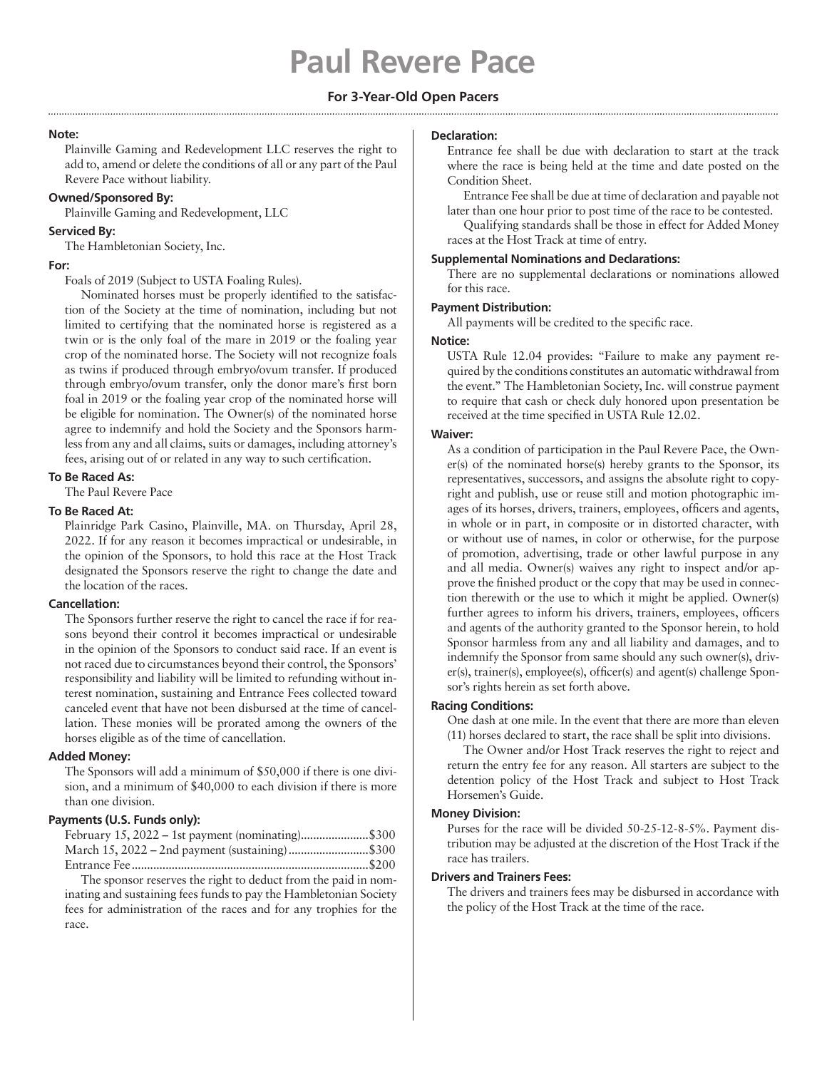# **Paul Revere Pace**

# **For 3-Year-Old Open Pacers**

## **Note:**

Plainville Gaming and Redevelopment LLC reserves the right to add to, amend or delete the conditions of all or any part of the Paul Revere Pace without liability.

# **Owned/Sponsored By:**

Plainville Gaming and Redevelopment, LLC

## **Serviced By:**

The Hambletonian Society, Inc.

## **For:**

Foals of 2019 (Subject to USTA Foaling Rules).

Nominated horses must be properly identified to the satisfaction of the Society at the time of nomination, including but not limited to certifying that the nominated horse is registered as a twin or is the only foal of the mare in 2019 or the foaling year crop of the nominated horse. The Society will not recognize foals as twins if produced through embryo/ovum transfer. If produced through embryo/ovum transfer, only the donor mare's first born foal in 2019 or the foaling year crop of the nominated horse will be eligible for nomination. The Owner(s) of the nominated horse agree to indemnify and hold the Society and the Sponsors harmless from any and all claims, suits or damages, including attorney's fees, arising out of or related in any way to such certification.

## **To Be Raced As:**

The Paul Revere Pace

# **To Be Raced At:**

Plainridge Park Casino, Plainville, MA. on Thursday, April 28, 2022. If for any reason it becomes impractical or undesirable, in the opinion of the Sponsors, to hold this race at the Host Track designated the Sponsors reserve the right to change the date and the location of the races.

# **Cancellation:**

The Sponsors further reserve the right to cancel the race if for reasons beyond their control it becomes impractical or undesirable in the opinion of the Sponsors to conduct said race. If an event is not raced due to circumstances beyond their control, the Sponsors' responsibility and liability will be limited to refunding without interest nomination, sustaining and Entrance Fees collected toward canceled event that have not been disbursed at the time of cancellation. These monies will be prorated among the owners of the horses eligible as of the time of cancellation.

## **Added Money:**

The Sponsors will add a minimum of \$50,000 if there is one division, and a minimum of \$40,000 to each division if there is more than one division.

# **Payments (U.S. Funds only):**

| February 15, 2022 – 1st payment (nominating)\$300 |  |
|---------------------------------------------------|--|
| March 15, 2022 – 2nd payment (sustaining)\$300    |  |
|                                                   |  |

The sponsor reserves the right to deduct from the paid in nominating and sustaining fees funds to pay the Hambletonian Society fees for administration of the races and for any trophies for the race.

## **Declaration:**

Entrance fee shall be due with declaration to start at the track where the race is being held at the time and date posted on the Condition Sheet.

Entrance Fee shall be due at time of declaration and payable not later than one hour prior to post time of the race to be contested.

Qualifying standards shall be those in effect for Added Money races at the Host Track at time of entry.

# **Supplemental Nominations and Declarations:**

There are no supplemental declarations or nominations allowed for this race.

#### **Payment Distribution:**

All payments will be credited to the specific race.

## **Notice:**

USTA Rule 12.04 provides: "Failure to make any payment required by the conditions constitutes an automatic withdrawal from the event." The Hambletonian Society, Inc. will construe payment to require that cash or check duly honored upon presentation be received at the time specified in USTA Rule 12.02.

## **Waiver:**

As a condition of participation in the Paul Revere Pace, the Owner(s) of the nominated horse(s) hereby grants to the Sponsor, its representatives, successors, and assigns the absolute right to copyright and publish, use or reuse still and motion photographic images of its horses, drivers, trainers, employees, officers and agents, in whole or in part, in composite or in distorted character, with or without use of names, in color or otherwise, for the purpose of promotion, advertising, trade or other lawful purpose in any and all media. Owner(s) waives any right to inspect and/or approve the finished product or the copy that may be used in connection therewith or the use to which it might be applied. Owner(s) further agrees to inform his drivers, trainers, employees, officers and agents of the authority granted to the Sponsor herein, to hold Sponsor harmless from any and all liability and damages, and to indemnify the Sponsor from same should any such owner(s), driver(s), trainer(s), employee(s), officer(s) and agent(s) challenge Sponsor's rights herein as set forth above.

## **Racing Conditions:**

One dash at one mile. In the event that there are more than eleven (11) horses declared to start, the race shall be split into divisions.

The Owner and/or Host Track reserves the right to reject and return the entry fee for any reason. All starters are subject to the detention policy of the Host Track and subject to Host Track Horsemen's Guide.

## **Money Division:**

Purses for the race will be divided 50-25-12-8-5%. Payment distribution may be adjusted at the discretion of the Host Track if the race has trailers.

# **Drivers and Trainers Fees:**

The drivers and trainers fees may be disbursed in accordance with the policy of the Host Track at the time of the race.